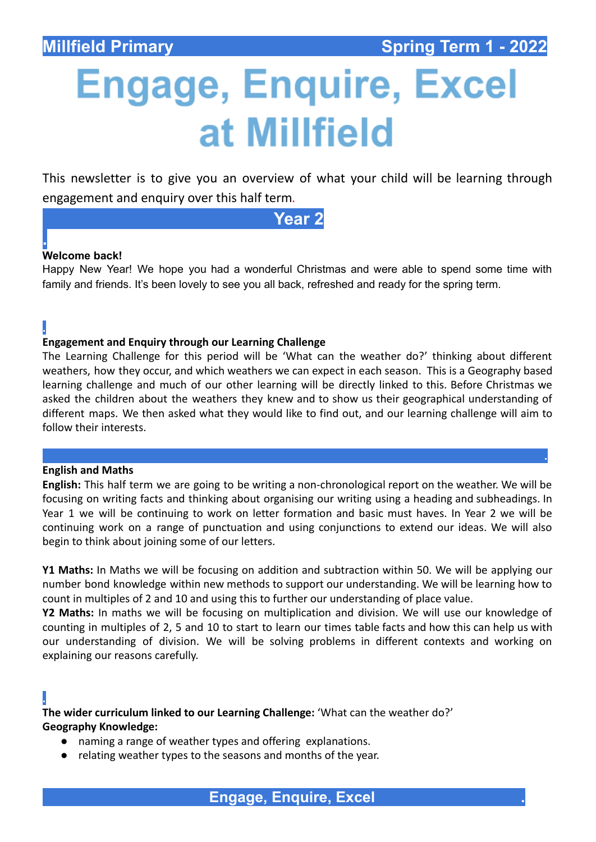**.**

# **Engage, Enquire, Excel** at Millfield

This newsletter is to give you an overview of what your child will be learning through engagement and enquiry over this half term*.*

**Year 2**

# **. Welcome back!**

**.**

Happy New Year! We hope you had a wonderful Christmas and were able to spend some time with family and friends. It's been lovely to see you all back, refreshed and ready for the spring term.

### **Engagement and Enquiry through our Learning Challenge**

The Learning Challenge for this period will be 'What can the weather do?' thinking about different weathers, how they occur, and which weathers we can expect in each season. This is a Geography based learning challenge and much of our other learning will be directly linked to this. Before Christmas we asked the children about the weathers they knew and to show us their geographical understanding of different maps. We then asked what they would like to find out, and our learning challenge will aim to follow their interests.

#### **English and Maths**

**English:** This half term we are going to be writing a non-chronological report on the weather. We will be focusing on writing facts and thinking about organising our writing using a heading and subheadings. In Year 1 we will be continuing to work on letter formation and basic must haves. In Year 2 we will be continuing work on a range of punctuation and using conjunctions to extend our ideas. We will also begin to think about joining some of our letters.

**Y1 Maths:** In Maths we will be focusing on addition and subtraction within 50. We will be applying our number bond knowledge within new methods to support our understanding. We will be learning how to count in multiples of 2 and 10 and using this to further our understanding of place value.

**Y2 Maths:** In maths we will be focusing on multiplication and division. We will use our knowledge of counting in multiples of 2, 5 and 10 to start to learn our times table facts and how this can help us with our understanding of division. We will be solving problems in different contexts and working on explaining our reasons carefully.

# **.**

**The wider curriculum linked to our Learning Challenge:** 'What can the weather do?' **Geography Knowledge:**

- naming a range of weather types and offering explanations.
- relating weather types to the seasons and months of the year.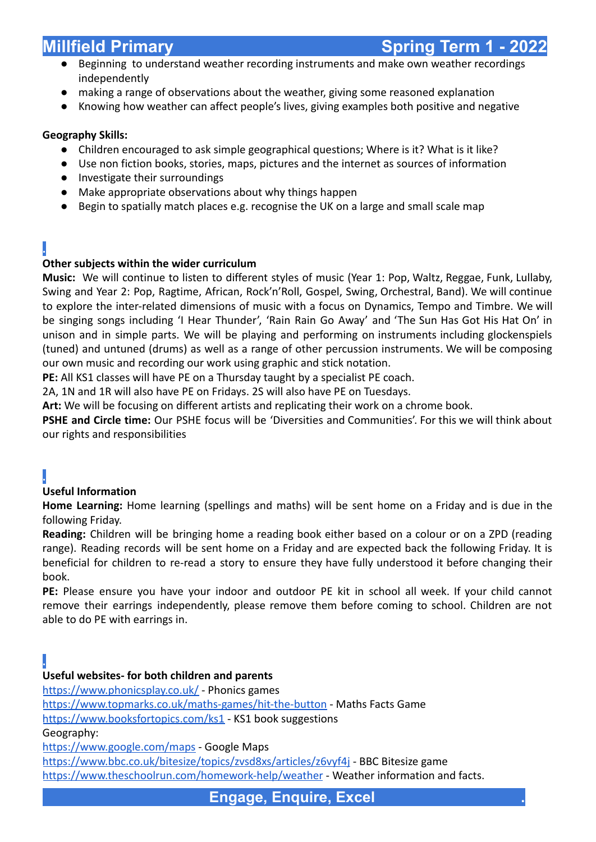- Beginning to understand weather recording instruments and make own weather recordings independently
- making a range of observations about the weather, giving some reasoned explanation
- Knowing how weather can affect people's lives, giving examples both positive and negative

# **Geography Skills:**

- **●** Children encouraged to ask simple geographical questions; Where is it? What is it like?
- **●** Use non fiction books, stories, maps, pictures and the internet as sources of information
- **●** Investigate their surroundings
- **●** Make appropriate observations about why things happen
- **●** Begin to spatially match places e.g. recognise the UK on a large and small scale map

# **.**

# **Other subjects within the wider curriculum**

**Music:** We will continue to listen to different styles of music (Year 1: Pop, Waltz, Reggae, Funk, Lullaby, Swing and Year 2: Pop, Ragtime, African, Rock'n'Roll, Gospel, Swing, Orchestral, Band). We will continue to explore the inter-related dimensions of music with a focus on Dynamics, Tempo and Timbre. We will be singing songs including 'I Hear Thunder', 'Rain Rain Go Away' and 'The Sun Has Got His Hat On' in unison and in simple parts. We will be playing and performing on instruments including glockenspiels (tuned) and untuned (drums) as well as a range of other percussion instruments. We will be composing our own music and recording our work using graphic and stick notation.

**PE:** All KS1 classes will have PE on a Thursday taught by a specialist PE coach.

2A, 1N and 1R will also have PE on Fridays. 2S will also have PE on Tuesdays.

**Art:** We will be focusing on different artists and replicating their work on a chrome book.

**PSHE and Circle time:** Our PSHE focus will be 'Diversities and Communities'. For this we will think about our rights and responsibilities

# **.**

# **Useful Information**

**Home Learning:** Home learning (spellings and maths) will be sent home on a Friday and is due in the following Friday.

**Reading:** Children will be bringing home a reading book either based on a colour or on a ZPD (reading range). Reading records will be sent home on a Friday and are expected back the following Friday. It is beneficial for children to re-read a story to ensure they have fully understood it before changing their book.

**PE:** Please ensure you have your indoor and outdoor PE kit in school all week. If your child cannot remove their earrings independently, please remove them before coming to school. Children are not able to do PE with earrings in.

# **.**

# **Useful websites- for both children and parents**

<https://www.phonicsplay.co.uk/> - Phonics games

<https://www.topmarks.co.uk/maths-games/hit-the-button> - Maths Facts Game

<https://www.booksfortopics.com/ks1> - KS1 book suggestions

Geography:

<https://www.google.com/maps> - Google Maps

<https://www.bbc.co.uk/bitesize/topics/zvsd8xs/articles/z6vyf4j> - BBC Bitesize game <https://www.theschoolrun.com/homework-help/weather> - Weather information and facts.